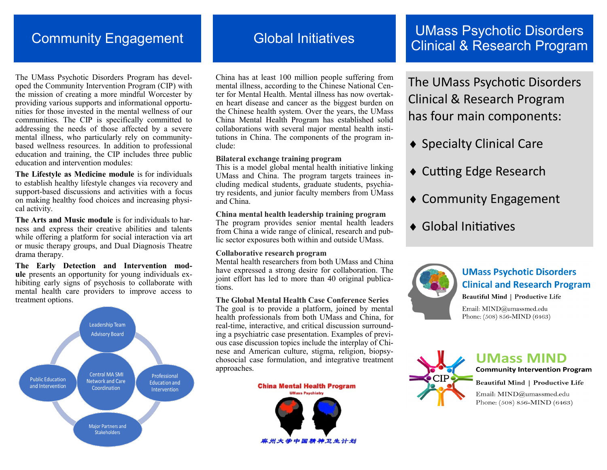# Community Engagement

The UMass Psychotic Disorders Program has developed the Community Intervention Program (CIP) with the mission of creating a more mindful Worcester by providing various supports and informational opportunities for those invested in the mental wellness of our communities. The CIP is specifically committed to addressing the needs of those affected by a severe mental illness, who particularly rely on communitybased wellness resources. In addition to professional education and training, the CIP includes three public education and intervention modules:

**The Lifestyle as Medicine module** is for individuals to establish healthy lifestyle changes via recovery and support-based discussions and activities with a focus on making healthy food choices and increasing physical activity.

**The Arts and Music module** is for individuals to harness and express their creative abilities and talents while offering a platform for social interaction via art or music therapy groups, and Dual Diagnosis Theatre drama therapy.

**The Early Detection and Intervention module** presents an opportunity for young individuals exhibiting early signs of psychosis to collaborate with mental health care providers to improve access to treatment options.



# Global Initiatives

China has at least 100 million people suffering from mental illness, according to the Chinese National Center for Mental Health. Mental illness has now overtaken heart disease and cancer as the biggest burden on the Chinese health system. Over the years, the UMass China Mental Health Program has established solid collaborations with several major mental health institutions in China. The components of the program include:

#### **Bilateral exchange training program**

This is a model global mental health initiative linking UMass and China. The program targets trainees including medical students, graduate students, psychiatry residents, and junior faculty members from UMass and China.

#### **China mental health leadership training program**

The program provides senior mental health leaders from China a wide range of clinical, research and public sector exposures both within and outside UMass.

#### **Collaborative research program**

Mental health researchers from both UMass and China have expressed a strong desire for collaboration. The joint effort has led to more than 40 original publications.

#### **The Global Mental Health Case Conference Series**

The goal is to provide a platform, joined by mental health professionals from both UMass and China, for real-time, interactive, and critical discussion surrounding a psychiatric case presentation. Examples of previous case discussion topics include the interplay of Chinese and American culture, stigma, religion, biopsychosocial case formulation, and integrative treatment approaches.

**China Mental Health Program** 



## UMass Psychotic Disorders Clinical & Research Program

The UMass Psychotic Disorders Clinical & Research Program has four main components:

- ◆ Specialty Clinical Care
- ◆ Cutting Edge Research
- Community Engagement
- ◆ Global Initiatives



# **UMass Psychotic Disorders Clinical and Research Program**

**Beautiful Mind | Productive Life** 

Email: MIND@umassmed.edu Phone: (508) 856-MIND (6463)



**UMass MIND Community Intervention Program** 

**Beautiful Mind | Productive Life** 

Email: MIND@umassmed.edu Phone: (508) 856-MIND (6463)